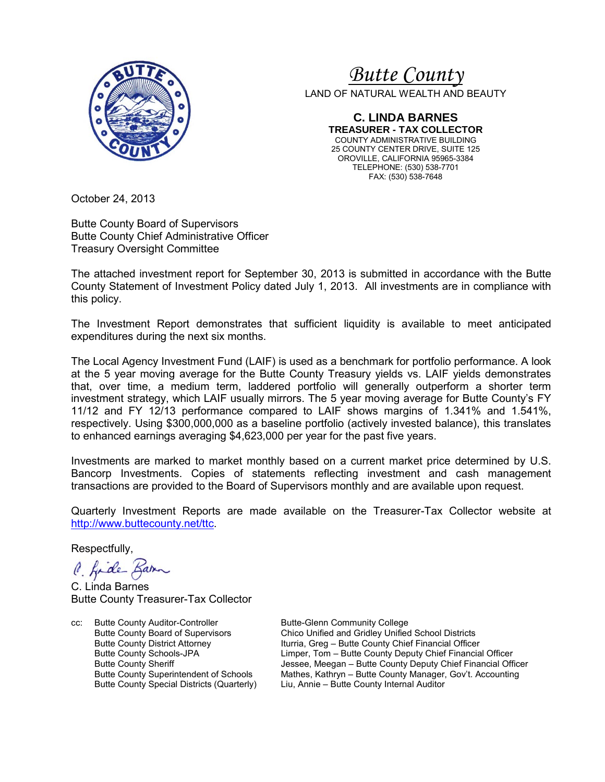

# *<sup>U</sup>Butte County*

LAND OF NATURAL WEALTH AND BEAUTY

**C. LINDA BARNES TREASURER - TAX COLLECTOR** COUNTY ADMINISTRATIVE BUILDING 25 COUNTY CENTER DRIVE, SUITE 125 OROVILLE, CALIFORNIA 95965-3384 TELEPHONE: (530) 538-7701 FAX: (530) 538-7648

October 24, 2013

Butte County Board of Supervisors Butte County Chief Administrative Officer Treasury Oversight Committee

The attached investment report for September 30, 2013 is submitted in accordance with the Butte County Statement of Investment Policy dated July 1, 2013. All investments are in compliance with this policy.

The Investment Report demonstrates that sufficient liquidity is available to meet anticipated expenditures during the next six months.

The Local Agency Investment Fund (LAIF) is used as a benchmark for portfolio performance. A look at the 5 year moving average for the Butte County Treasury yields vs. LAIF yields demonstrates that, over time, a medium term, laddered portfolio will generally outperform a shorter term investment strategy, which LAIF usually mirrors. The 5 year moving average for Butte County's FY 11/12 and FY 12/13 performance compared to LAIF shows margins of 1.341% and 1.541%, respectively. Using \$300,000,000 as a baseline portfolio (actively invested balance), this translates to enhanced earnings averaging \$4,623,000 per year for the past five years.

Investments are marked to market monthly based on a current market price determined by U.S. Bancorp Investments. Copies of statements reflecting investment and cash management transactions are provided to the Board of Supervisors monthly and are available upon request.

Quarterly Investment Reports are made available on the Treasurer-Tax Collector website at <http://www.buttecounty.net/ttc>.

Respectfully,

C. fide Barn

C. Linda Barnes Butte County Treasurer-Tax Collector

cc: Butte County Auditor-Controller Butte-Glenn Community College<br>Butte County Board of Supervisors Chico Unified and Gridley Unified Butte County Special Districts (Quarterly)

Butte County Board of Supervisors Chico Unified and Gridley Unified School Districts<br>Butte County District Attorney Iturria, Greg – Butte County Chief Financial Officer Butte County District Attorney **Iturria, Greg – Butte County Chief Financial Officer**<br>Butte County Schools-JPA **Interpret Limper, Tom – Butte County Deputy Chief Financia** Limper, Tom – Butte County Deputy Chief Financial Officer Butte County Sheriff **The County Sheriff County Sheriff Lessee**, Meegan – Butte County Deputy Chief Financial Officer<br>Butte County Superintendent of Schools Mathes, Kathryn – Butte County Manager, Gov't. Accounting Mathes, Kathryn – Butte County Manager, Gov't. Accounting<br>Liu, Annie – Butte County Internal Auditor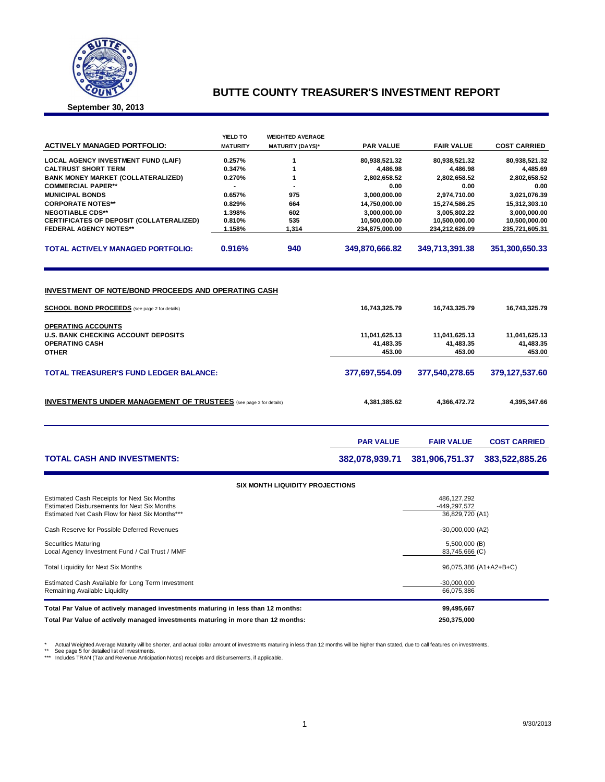

#### **BUTTE COUNTY TREASURER'S INVESTMENT REPORT**

**September 30, 2013**

|                                                                                                      | YIELD TO         | <b>WEIGHTED AVERAGE</b>                |                                 |                                 |                                 |  |  |
|------------------------------------------------------------------------------------------------------|------------------|----------------------------------------|---------------------------------|---------------------------------|---------------------------------|--|--|
| <b>ACTIVELY MANAGED PORTFOLIO:</b>                                                                   | <b>MATURITY</b>  | <b>MATURITY (DAYS)*</b>                | <b>PAR VALUE</b>                | <b>FAIR VALUE</b>               | <b>COST CARRIED</b>             |  |  |
| <b>LOCAL AGENCY INVESTMENT FUND (LAIF)</b>                                                           | 0.257%           | 1                                      | 80,938,521.32                   | 80,938,521.32                   | 80,938,521.32                   |  |  |
| <b>CALTRUST SHORT TERM</b>                                                                           | 0.347%           | 1                                      | 4,486.98                        | 4,486.98                        | 4,485.69                        |  |  |
| <b>BANK MONEY MARKET (COLLATERALIZED)</b>                                                            | 0.270%<br>1      |                                        |                                 |                                 | 2,802,658.52                    |  |  |
| <b>COMMERCIAL PAPER**</b>                                                                            |                  |                                        | 0.00<br>3,000,000.00            | 0.00<br>2,974,710.00            | 0.00                            |  |  |
| <b>MUNICIPAL BONDS</b>                                                                               | 975<br>0.657%    |                                        |                                 |                                 | 3,021,076.39                    |  |  |
| <b>CORPORATE NOTES**</b>                                                                             | 0.829%           | 664                                    | 14,750,000.00                   | 15,274,586.25                   | 15,312,303.10                   |  |  |
| <b>NEGOTIABLE CDS**</b>                                                                              | 1.398%           | 602                                    | 3,000,000.00                    | 3,005,802.22                    | 3,000,000.00                    |  |  |
| CERTIFICATES OF DEPOSIT (COLLATERALIZED)<br><b>FEDERAL AGENCY NOTES**</b>                            | 0.810%<br>1.158% | 535<br>1,314                           | 10,500,000.00<br>234,875,000.00 | 10,500,000.00<br>234,212,626.09 | 10,500,000.00<br>235,721,605.31 |  |  |
|                                                                                                      |                  |                                        |                                 |                                 |                                 |  |  |
| <b>TOTAL ACTIVELY MANAGED PORTFOLIO:</b>                                                             | 0.916%           | 940                                    | 349,870,666.82                  | 349,713,391.38                  | 351,300,650.33                  |  |  |
| INVESTMENT OF NOTE/BOND PROCEEDS AND OPERATING CASH                                                  |                  |                                        |                                 |                                 |                                 |  |  |
| <b>SCHOOL BOND PROCEEDS</b> (see page 2 for details)                                                 |                  |                                        | 16,743,325.79                   | 16,743,325.79                   | 16,743,325.79                   |  |  |
| <b>OPERATING ACCOUNTS</b>                                                                            |                  |                                        |                                 |                                 |                                 |  |  |
| <b>U.S. BANK CHECKING ACCOUNT DEPOSITS</b>                                                           |                  |                                        | 11,041,625.13                   | 11,041,625.13                   | 11,041,625.13                   |  |  |
| <b>OPERATING CASH</b>                                                                                |                  |                                        | 41,483.35                       | 41,483.35                       | 41,483.35                       |  |  |
| <b>OTHER</b>                                                                                         |                  |                                        | 453.00                          | 453.00                          | 453.00                          |  |  |
| <b>TOTAL TREASURER'S FUND LEDGER BALANCE:</b>                                                        |                  |                                        | 377,697,554.09                  | 377,540,278.65                  | 379,127,537.60                  |  |  |
| <b>INVESTMENTS UNDER MANAGEMENT OF TRUSTEES</b> (see page 3 for details)                             |                  |                                        | 4,381,385.62                    | 4,366,472.72                    | 4,395,347.66                    |  |  |
|                                                                                                      |                  |                                        | <b>PAR VALUE</b>                | <b>FAIR VALUE</b>               | <b>COST CARRIED</b>             |  |  |
| <b>TOTAL CASH AND INVESTMENTS:</b>                                                                   |                  |                                        | 382,078,939.71                  | 381,906,751.37                  | 383,522,885.26                  |  |  |
|                                                                                                      |                  | <b>SIX MONTH LIQUIDITY PROJECTIONS</b> |                                 |                                 |                                 |  |  |
| Estimated Cash Receipts for Next Six Months                                                          |                  |                                        |                                 | 486, 127, 292                   |                                 |  |  |
| <b>Estimated Disbursements for Next Six Months</b><br>Estimated Net Cash Flow for Next Six Months*** |                  |                                        | -449,297,572<br>36,829,720 (A1) |                                 |                                 |  |  |
| Cash Reserve for Possible Deferred Revenues                                                          |                  |                                        | $-30,000,000$ (A2)              |                                 |                                 |  |  |
| <b>Securities Maturing</b><br>Local Agency Investment Fund / Cal Trust / MMF                         |                  |                                        | 5,500,000 (B)<br>83,745,666 (C) |                                 |                                 |  |  |
| Total Liquidity for Next Six Months                                                                  |                  |                                        |                                 | 96,075,386 (A1+A2+B+C)          |                                 |  |  |
| Estimated Cash Available for Long Term Investment<br>Remaining Available Liquidity                   |                  |                                        |                                 | $-30,000,000$<br>66,075,386     |                                 |  |  |
| Total Par Value of actively managed investments maturing in less than 12 months:                     |                  |                                        |                                 | 99,495,667                      |                                 |  |  |

**Total Par Value of actively managed investments maturing in more than 12 months: 250,375,000**

\* Actual Weighted Average Maturity will be shorter, and actual dollar amount of investments maturing in less than 12 months will be higher than stated, due to call features on investments.<br>\*\* See page 5 for detailed list o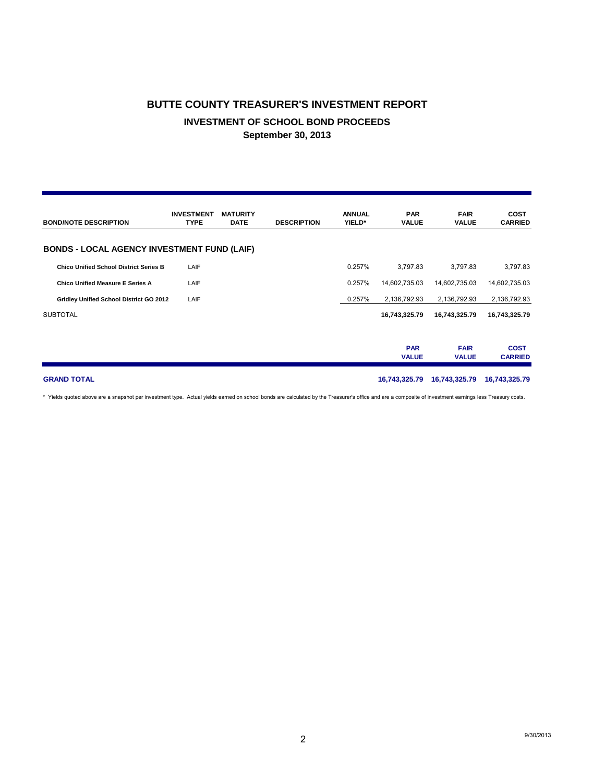# **BUTTE COUNTY TREASURER'S INVESTMENT REPORT INVESTMENT OF SCHOOL BOND PROCEEDS September 30, 2013**

| <b>BOND/NOTE DESCRIPTION</b>                       | <b>INVESTMENT</b><br><b>TYPE</b> | <b>MATURITY</b><br><b>DATE</b> | <b>DESCRIPTION</b> | <b>ANNUAL</b><br>YIELD* | <b>PAR</b><br><b>VALUE</b> | <b>FAIR</b><br><b>VALUE</b> | <b>COST</b><br><b>CARRIED</b> |
|----------------------------------------------------|----------------------------------|--------------------------------|--------------------|-------------------------|----------------------------|-----------------------------|-------------------------------|
| <b>BONDS - LOCAL AGENCY INVESTMENT FUND (LAIF)</b> |                                  |                                |                    |                         |                            |                             |                               |
| <b>Chico Unified School District Series B</b>      | LAIF                             |                                |                    | 0.257%                  | 3,797.83                   | 3,797.83                    | 3,797.83                      |
| <b>Chico Unified Measure E Series A</b>            | LAIF                             |                                |                    | 0.257%                  | 14,602,735.03              | 14,602,735.03               | 14,602,735.03                 |
| Gridley Unified School District GO 2012            | LAIF                             |                                |                    | 0.257%                  | 2,136,792.93               | 2,136,792.93                | 2,136,792.93                  |
| <b>SUBTOTAL</b>                                    |                                  |                                |                    |                         | 16,743,325.79              | 16,743,325.79               | 16,743,325.79                 |
|                                                    |                                  |                                |                    |                         | <b>PAR</b><br><b>VALUE</b> | <b>FAIR</b><br><b>VALUE</b> | <b>COST</b><br><b>CARRIED</b> |
| <b>GRAND TOTAL</b>                                 |                                  |                                |                    |                         | 16,743,325.79              | 16,743,325.79               | 16,743,325.79                 |

\* Yields quoted above are a snapshot per investment type. Actual yields earned on school bonds are calculated by the Treasurer's office and are a composite of investment earnings less Treasury costs.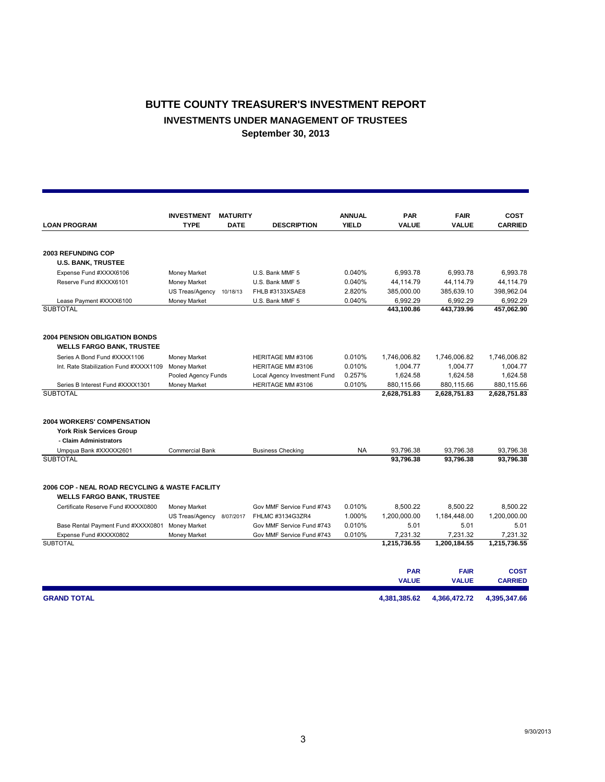## **BUTTE COUNTY TREASURER'S INVESTMENT REPORT INVESTMENTS UNDER MANAGEMENT OF TRUSTEES September 30, 2013**

|                                                                                     | <b>INVESTMENT</b>      | <b>MATURITY</b> |                              | <b>ANNUAL</b><br><b>YIELD</b> | <b>PAR</b>   | <b>FAIR</b>  | <b>COST</b>    |
|-------------------------------------------------------------------------------------|------------------------|-----------------|------------------------------|-------------------------------|--------------|--------------|----------------|
| <b>LOAN PROGRAM</b>                                                                 | <b>TYPE</b>            | <b>DATE</b>     | <b>DESCRIPTION</b>           |                               | <b>VALUE</b> | <b>VALUE</b> | <b>CARRIED</b> |
| <b>2003 REFUNDING COP</b>                                                           |                        |                 |                              |                               |              |              |                |
| <b>U.S. BANK, TRUSTEE</b>                                                           |                        |                 |                              |                               |              |              |                |
| Expense Fund #XXXX6106                                                              | Money Market           |                 | U.S. Bank MMF 5              | 0.040%                        | 6,993.78     | 6,993.78     | 6,993.78       |
| Reserve Fund #XXXX6101                                                              | Money Market           |                 | U.S. Bank MMF 5              | 0.040%                        | 44,114.79    | 44,114.79    | 44,114.79      |
|                                                                                     | <b>US Treas/Agency</b> | 10/18/13        | FHLB #3133XSAE8              | 2.820%                        | 385.000.00   | 385.639.10   | 398,962.04     |
| Lease Payment #XXXX6100                                                             | Money Market           |                 | U.S. Bank MMF 5              | 0.040%                        | 6,992.29     | 6,992.29     | 6,992.29       |
| <b>SUBTOTAL</b>                                                                     |                        |                 |                              |                               | 443,100.86   | 443,739.96   | 457,062.90     |
| <b>2004 PENSION OBLIGATION BONDS</b><br><b>WELLS FARGO BANK, TRUSTEE</b>            |                        |                 |                              |                               |              |              |                |
| Series A Bond Fund #XXXX1106                                                        | Money Market           |                 | HERITAGE MM #3106            | 0.010%                        | 1,746,006.82 | 1,746,006.82 | 1,746,006.82   |
| Int. Rate Stabilization Fund #XXXX1109                                              | Money Market           |                 | HERITAGE MM #3106            | 0.010%                        | 1,004.77     | 1.004.77     | 1,004.77       |
|                                                                                     | Pooled Agency Funds    |                 | Local Agency Investment Fund | 0.257%                        | 1,624.58     | 1,624.58     | 1,624.58       |
| Series B Interest Fund #XXXX1301                                                    | Money Market           |                 | HERITAGE MM #3106            | 0.010%                        | 880,115.66   | 880,115.66   | 880,115.66     |
| <b>SUBTOTAL</b>                                                                     |                        |                 |                              |                               | 2,628,751.83 | 2,628,751.83 | 2,628,751.83   |
| <b>2004 WORKERS' COMPENSATION</b><br><b>York Risk Services Group</b>                |                        |                 |                              |                               |              |              |                |
| - Claim Administrators                                                              |                        |                 |                              |                               |              |              |                |
| Umpqua Bank #XXXXX2601                                                              | Commercial Bank        |                 | <b>Business Checking</b>     | <b>NA</b>                     | 93,796.38    | 93,796.38    | 93,796.38      |
| <b>SUBTOTAL</b>                                                                     |                        |                 |                              |                               | 93.796.38    | 93.796.38    | 93,796.38      |
| 2006 COP - NEAL ROAD RECYCLING & WASTE FACILITY<br><b>WELLS FARGO BANK, TRUSTEE</b> |                        |                 |                              |                               |              |              |                |
| Certificate Reserve Fund #XXXX0800                                                  | Money Market           |                 | Gov MMF Service Fund #743    | 0.010%                        | 8,500.22     | 8,500.22     | 8,500.22       |
|                                                                                     | US Treas/Agency        | 8/07/2017       | FHLMC #3134G3ZR4             | 1.000%                        | 1,200,000.00 | 1,184,448.00 | 1,200,000.00   |
| Base Rental Payment Fund #XXXX0801                                                  | Money Market           |                 | Gov MMF Service Fund #743    | 0.010%                        | 5.01         | 5.01         | 5.01           |
| Expense Fund #XXXX0802                                                              | Money Market           |                 | Gov MMF Service Fund #743    | 0.010%                        | 7,231.32     | 7,231.32     | 7,231.32       |
| <b>SUBTOTAL</b>                                                                     |                        |                 |                              |                               | 1,215,736.55 | 1,200,184.55 | 1,215,736.55   |
|                                                                                     |                        |                 |                              |                               |              |              |                |
|                                                                                     |                        |                 |                              |                               | <b>PAR</b>   | <b>FAIR</b>  | <b>COST</b>    |
|                                                                                     |                        |                 |                              |                               | <b>VALUE</b> | <b>VALUE</b> | <b>CARRIED</b> |
| <b>GRAND TOTAL</b>                                                                  |                        |                 |                              |                               | 4.381.385.62 | 4.366.472.72 | 4.395.347.66   |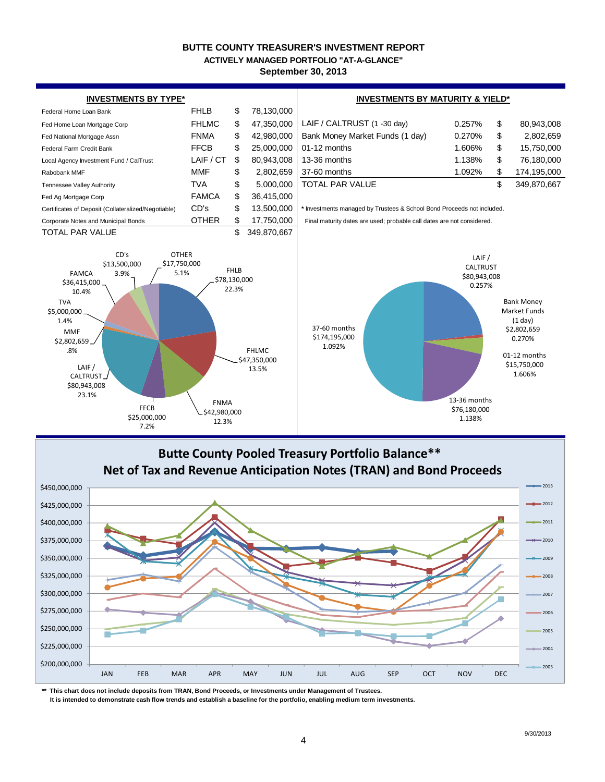#### **BUTTE COUNTY TREASURER'S INVESTMENT REPORT September 30, 2013 ACTIVELY MANAGED PORTFOLIO "AT-A-GLANCE"**





**\*\* This chart does not include deposits from TRAN, Bond Proceeds, or Investments under Management of Trustees.**

 **It is intended to demonstrate cash flow trends and establish a baseline for the portfolio, enabling medium term investments.**